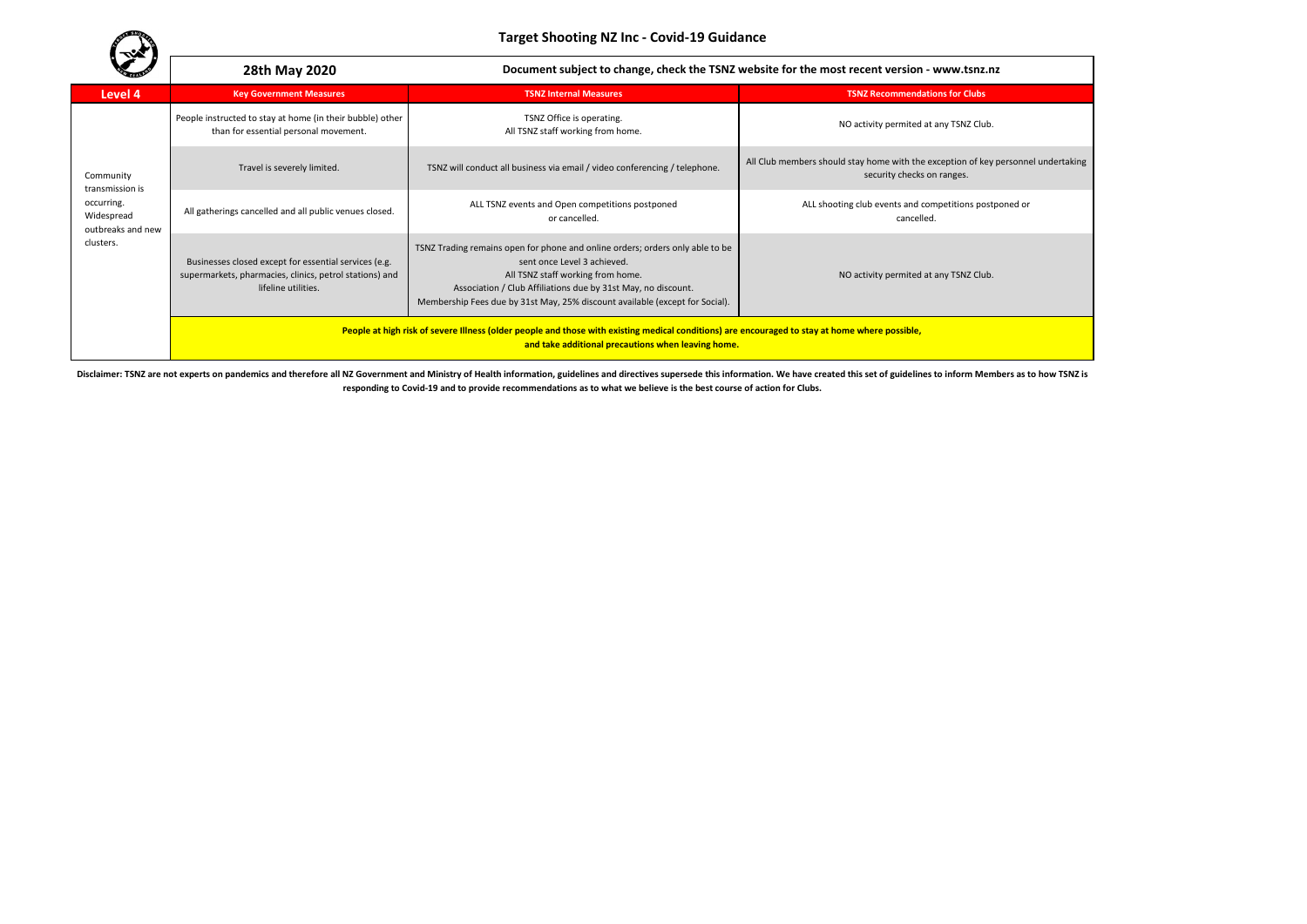**Target Shooting NZ Inc - Covid-19 Guidance**

|                                                                                            | 28th May 2020                                                                                                                                                                                        | Document subject to change, check the TSNZ website for the most recent version - www.tsnz.nz                                                                                                                                                                                                       |                                                                                                                 |  |  |
|--------------------------------------------------------------------------------------------|------------------------------------------------------------------------------------------------------------------------------------------------------------------------------------------------------|----------------------------------------------------------------------------------------------------------------------------------------------------------------------------------------------------------------------------------------------------------------------------------------------------|-----------------------------------------------------------------------------------------------------------------|--|--|
| Level 4                                                                                    | <b>Key Government Measures</b>                                                                                                                                                                       | <b>TSNZ Internal Measures</b>                                                                                                                                                                                                                                                                      | <b>TSNZ Recommendations for Clubs</b>                                                                           |  |  |
| Community<br>transmission is<br>occurring.<br>Widespread<br>outbreaks and new<br>clusters. | People instructed to stay at home (in their bubble) other<br>than for essential personal movement.                                                                                                   | TSNZ Office is operating.<br>All TSNZ staff working from home.                                                                                                                                                                                                                                     | NO activity permited at any TSNZ Club.                                                                          |  |  |
|                                                                                            | Travel is severely limited.                                                                                                                                                                          | TSNZ will conduct all business via email / video conferencing / telephone.                                                                                                                                                                                                                         | All Club members should stay home with the exception of key personnel undertaking<br>security checks on ranges. |  |  |
|                                                                                            | All gatherings cancelled and all public venues closed.                                                                                                                                               | ALL TSNZ events and Open competitions postponed<br>or cancelled.                                                                                                                                                                                                                                   | ALL shooting club events and competitions postponed or<br>cancelled.                                            |  |  |
|                                                                                            | Businesses closed except for essential services (e.g.<br>supermarkets, pharmacies, clinics, petrol stations) and<br>lifeline utilities.                                                              | TSNZ Trading remains open for phone and online orders; orders only able to be<br>sent once Level 3 achieved.<br>All TSNZ staff working from home.<br>Association / Club Affiliations due by 31st May, no discount.<br>Membership Fees due by 31st May, 25% discount available (except for Social). | NO activity permited at any TSNZ Club.                                                                          |  |  |
|                                                                                            | People at high risk of severe Illness (older people and those with existing medical conditions) are encouraged to stay at home where possible,<br>and take additional precautions when leaving home. |                                                                                                                                                                                                                                                                                                    |                                                                                                                 |  |  |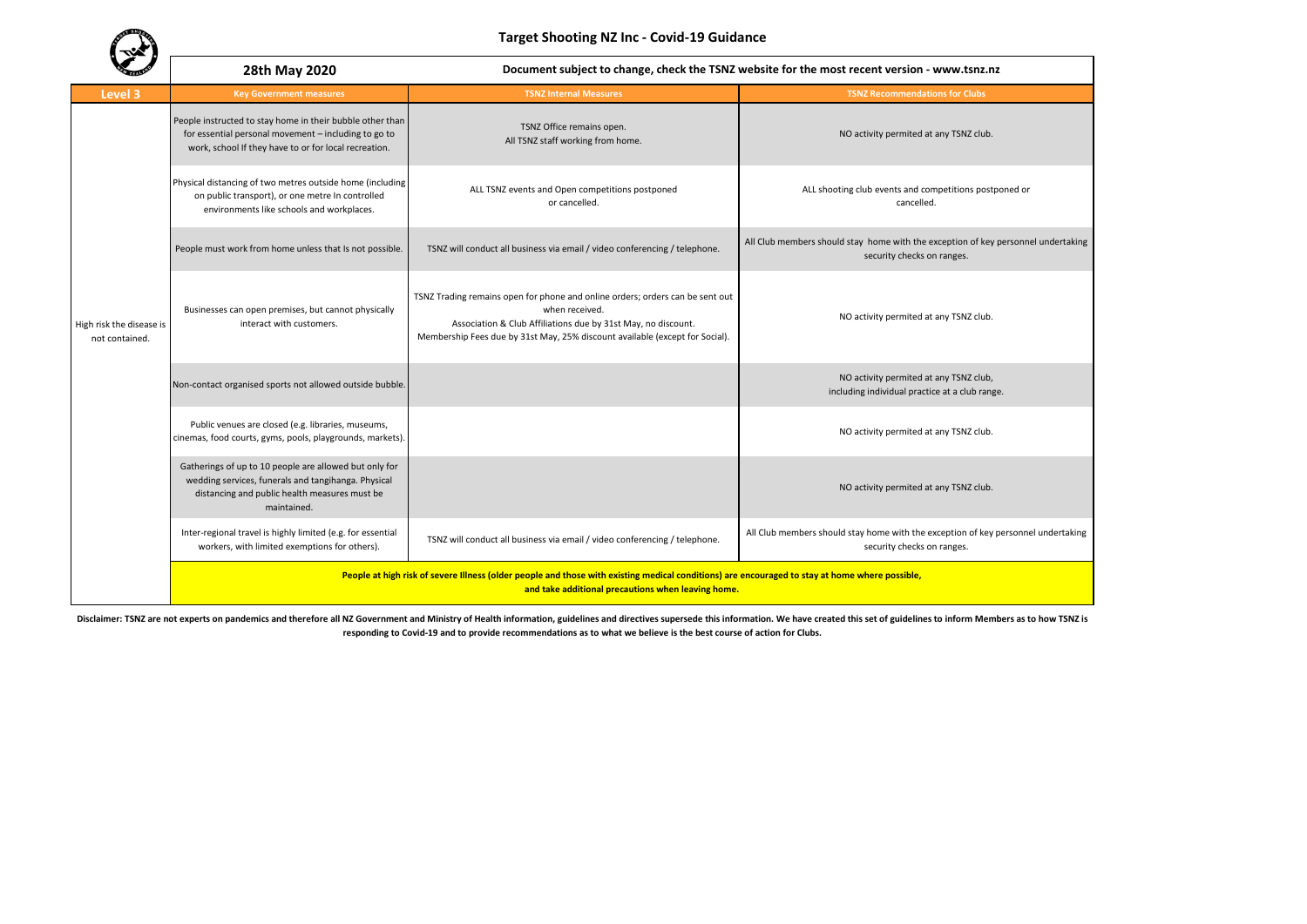**Target Shooting NZ Inc - Covid-19 Guidance**

|                                            | 28th May 2020<br>Document subject to change, check the TSNZ website for the most recent version - www.tsnz.nz                                                                                        |                                                                                                                                                                                                                                                  |                                                                                                                 |  |
|--------------------------------------------|------------------------------------------------------------------------------------------------------------------------------------------------------------------------------------------------------|--------------------------------------------------------------------------------------------------------------------------------------------------------------------------------------------------------------------------------------------------|-----------------------------------------------------------------------------------------------------------------|--|
| Level 3                                    | <b>Key Government measures</b>                                                                                                                                                                       | <b>TSNZ Internal Measures</b>                                                                                                                                                                                                                    | <b>TSNZ Recommendations for Clubs</b>                                                                           |  |
| High risk the disease is<br>not contained. | People instructed to stay home in their bubble other than<br>for essential personal movement - including to go to<br>work, school If they have to or for local recreation.                           | TSNZ Office remains open.<br>All TSNZ staff working from home.                                                                                                                                                                                   | NO activity permited at any TSNZ club.                                                                          |  |
|                                            | Physical distancing of two metres outside home (including<br>on public transport), or one metre In controlled<br>environments like schools and workplaces.                                           | ALL TSNZ events and Open competitions postponed<br>or cancelled.                                                                                                                                                                                 | ALL shooting club events and competitions postponed or<br>cancelled.                                            |  |
|                                            | People must work from home unless that Is not possible.                                                                                                                                              | TSNZ will conduct all business via email / video conferencing / telephone.                                                                                                                                                                       | All Club members should stay home with the exception of key personnel undertaking<br>security checks on ranges. |  |
|                                            | Businesses can open premises, but cannot physically<br>interact with customers.                                                                                                                      | TSNZ Trading remains open for phone and online orders; orders can be sent out<br>when received.<br>Association & Club Affiliations due by 31st May, no discount.<br>Membership Fees due by 31st May, 25% discount available (except for Social). | NO activity permited at any TSNZ club.                                                                          |  |
|                                            | Non-contact organised sports not allowed outside bubble.                                                                                                                                             |                                                                                                                                                                                                                                                  | NO activity permited at any TSNZ club,<br>including individual practice at a club range.                        |  |
|                                            | Public venues are closed (e.g. libraries, museums,<br>cinemas, food courts, gyms, pools, playgrounds, markets).                                                                                      |                                                                                                                                                                                                                                                  | NO activity permited at any TSNZ club.                                                                          |  |
|                                            | Gatherings of up to 10 people are allowed but only for<br>wedding services, funerals and tangihanga. Physical<br>distancing and public health measures must be<br>maintained.                        |                                                                                                                                                                                                                                                  | NO activity permited at any TSNZ club.                                                                          |  |
|                                            | Inter-regional travel is highly limited (e.g. for essential<br>workers, with limited exemptions for others).                                                                                         | TSNZ will conduct all business via email / video conferencing / telephone.                                                                                                                                                                       | All Club members should stay home with the exception of key personnel undertaking<br>security checks on ranges. |  |
|                                            | People at high risk of severe Illness (older people and those with existing medical conditions) are encouraged to stay at home where possible,<br>and take additional precautions when leaving home. |                                                                                                                                                                                                                                                  |                                                                                                                 |  |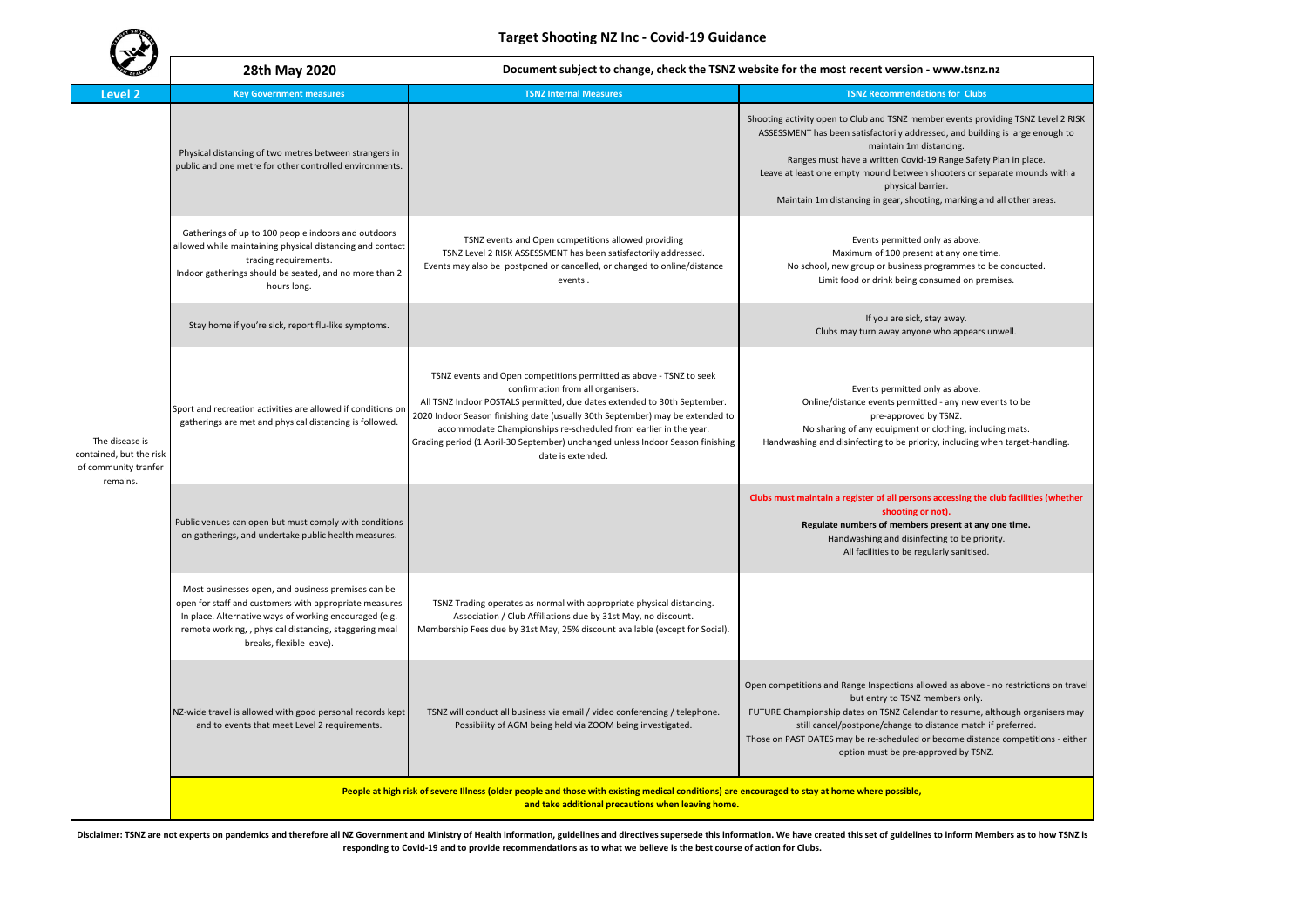| <b>CELEBRATI</b>                                                              | 28th May 2020                                                                                                                                                                                                                                                | Document subject to change, check the TSNZ website for the most recent version - www.tsnz.nz                                                                                                                                                                                                                                                                                                                                                     |                                                                                                                                                                                                                                                                                                                                                                                                                                              |  |
|-------------------------------------------------------------------------------|--------------------------------------------------------------------------------------------------------------------------------------------------------------------------------------------------------------------------------------------------------------|--------------------------------------------------------------------------------------------------------------------------------------------------------------------------------------------------------------------------------------------------------------------------------------------------------------------------------------------------------------------------------------------------------------------------------------------------|----------------------------------------------------------------------------------------------------------------------------------------------------------------------------------------------------------------------------------------------------------------------------------------------------------------------------------------------------------------------------------------------------------------------------------------------|--|
| <b>Level 2</b>                                                                | <b>Key Government measures</b>                                                                                                                                                                                                                               | <b>TSNZ Internal Measures</b>                                                                                                                                                                                                                                                                                                                                                                                                                    | <b>TSNZ Recommendations for Clubs</b>                                                                                                                                                                                                                                                                                                                                                                                                        |  |
| The disease is<br>contained, but the risk<br>of community tranfer<br>remains. | Physical distancing of two metres between strangers in<br>public and one metre for other controlled environments.                                                                                                                                            |                                                                                                                                                                                                                                                                                                                                                                                                                                                  | Shooting activity open to Club and TSNZ member events providing TSNZ Level 2 RISK<br>ASSESSMENT has been satisfactorily addressed, and building is large enough to<br>maintain 1m distancing.<br>Ranges must have a written Covid-19 Range Safety Plan in place.<br>Leave at least one empty mound between shooters or separate mounds with a<br>physical barrier.<br>Maintain 1m distancing in gear, shooting, marking and all other areas. |  |
|                                                                               | Gatherings of up to 100 people indoors and outdoors<br>allowed while maintaining physical distancing and contact<br>tracing requirements.<br>Indoor gatherings should be seated, and no more than 2<br>hours long.                                           | TSNZ events and Open competitions allowed providing<br>TSNZ Level 2 RISK ASSESSMENT has been satisfactorily addressed.<br>Events may also be postponed or cancelled, or changed to online/distance<br>events.                                                                                                                                                                                                                                    | Events permitted only as above.<br>Maximum of 100 present at any one time.<br>No school, new group or business programmes to be conducted.<br>Limit food or drink being consumed on premises.                                                                                                                                                                                                                                                |  |
|                                                                               | Stay home if you're sick, report flu-like symptoms.                                                                                                                                                                                                          |                                                                                                                                                                                                                                                                                                                                                                                                                                                  | If you are sick, stay away.<br>Clubs may turn away anyone who appears unwell.                                                                                                                                                                                                                                                                                                                                                                |  |
|                                                                               | Sport and recreation activities are allowed if conditions or<br>gatherings are met and physical distancing is followed.                                                                                                                                      | TSNZ events and Open competitions permitted as above - TSNZ to seek<br>confirmation from all organisers.<br>All TSNZ Indoor POSTALS permitted, due dates extended to 30th September.<br>2020 Indoor Season finishing date (usually 30th September) may be extended to<br>accommodate Championships re-scheduled from earlier in the year.<br>Grading period (1 April-30 September) unchanged unless Indoor Season finishing<br>date is extended. | Events permitted only as above.<br>Online/distance events permitted - any new events to be<br>pre-approved by TSNZ.<br>No sharing of any equipment or clothing, including mats.<br>Handwashing and disinfecting to be priority, including when target-handling.                                                                                                                                                                              |  |
|                                                                               | Public venues can open but must comply with conditions<br>on gatherings, and undertake public health measures.                                                                                                                                               |                                                                                                                                                                                                                                                                                                                                                                                                                                                  | Clubs must maintain a register of all persons accessing the club facilities (whether<br>shooting or not).<br>Regulate numbers of members present at any one time.<br>Handwashing and disinfecting to be priority.<br>All facilities to be regularly sanitised.                                                                                                                                                                               |  |
|                                                                               | Most businesses open, and business premises can be<br>open for staff and customers with appropriate measures<br>In place. Alternative ways of working encouraged (e.g.<br>remote working, , physical distancing, staggering meal<br>breaks, flexible leave). | TSNZ Trading operates as normal with appropriate physical distancing.<br>Association / Club Affiliations due by 31st May, no discount.<br>Membership Fees due by 31st May, 25% discount available (except for Social).                                                                                                                                                                                                                           |                                                                                                                                                                                                                                                                                                                                                                                                                                              |  |
|                                                                               | NZ-wide travel is allowed with good personal records kept<br>and to events that meet Level 2 requirements.                                                                                                                                                   | TSNZ will conduct all business via email / video conferencing / telephone.<br>Possibility of AGM being held via ZOOM being investigated.                                                                                                                                                                                                                                                                                                         | Open competitions and Range Inspections allowed as above - no restrictions on travel<br>but entry to TSNZ members only.<br>FUTURE Championship dates on TSNZ Calendar to resume, although organisers may<br>still cancel/postpone/change to distance match if preferred.<br>Those on PAST DATES may be re-scheduled or become distance competitions - either<br>option must be pre-approved by TSNZ.                                         |  |
|                                                                               | People at high risk of severe Illness (older people and those with existing medical conditions) are encouraged to stay at home where possible,<br>and take additional precautions when leaving home.                                                         |                                                                                                                                                                                                                                                                                                                                                                                                                                                  |                                                                                                                                                                                                                                                                                                                                                                                                                                              |  |